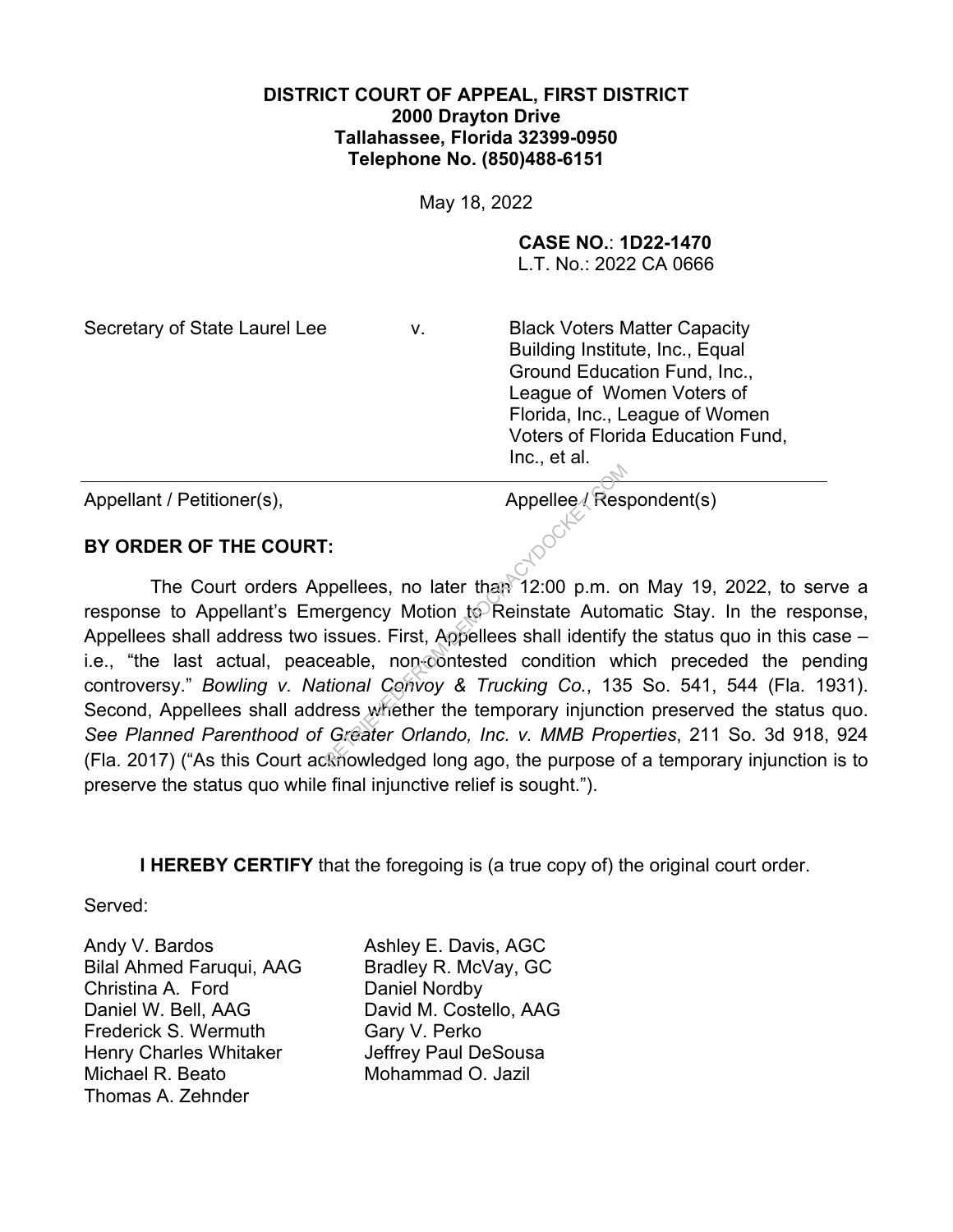## **DISTRICT COURT OF APPEAL, FIRST DISTRICT 2000 Drayton Drive Tallahassee, Florida 32399-0950 Telephone No. (850)488-6151**

May 18, 2022

**CASE NO.**: **1D22-1470**

L.T. No.: 2022 CA 0666

Secretary of State Laurel Lee v. Black Voters Matter Capacity Building Institute, Inc., Equal Ground Education Fund, Inc., League of Women Voters of Florida, Inc., League of Women Voters of Florida Education Fund, Inc., et al.

Appellant / Petitioner(s), Appellee / Respondent(s)

## **BY ORDER OF THE COURT:**

 The Court orders Appellees, no later than 12:00 p.m. on May 19, 2022, to serve a response to Appellant's Emergency Motion to Reinstate Automatic Stay. In the response, Appellees shall address two issues. First, Appellees shall identify the status quo in this case – i.e., "the last actual, peaceable, non-contested condition which preceded the pending controversy." *Bowling v. National Convoy & Trucking Co.*, 135 So. 541, 544 (Fla. 1931). Second, Appellees shall address whether the temporary injunction preserved the status quo. *See Planned Parenthood of Greater Orlando, Inc. v. MMB Properties*, 211 So. 3d 918, 924 (Fla. 2017) ("As this Court acknowledged long ago, the purpose of a temporary injunction is to preserve the status quo while final injunctive relief is sought."). Appellee / Res<br>
Provide a Appellee / Res<br>
Provides, no later than 12:00 p.m. of<br>
Provides First, Appellees shall identify<br>
Retakent Convoy & Trucking Co., 135<br>
Res Whether the temporary injunction<br>
Greater Orlando, Inc. v.

**I HEREBY CERTIFY** that the foregoing is (a true copy of) the original court order.

Served:

Andy V. Bardos Bilal Ahmed Faruqui, AAG Christina A. Ford Daniel W. Bell, AAG Frederick S. Wermuth Henry Charles Whitaker Michael R. Beato Thomas A. Zehnder

Ashley E. Davis, AGC Bradley R. McVay, GC Daniel Nordby David M. Costello, AAG Gary V. Perko Jeffrey Paul DeSousa Mohammad O. Jazil